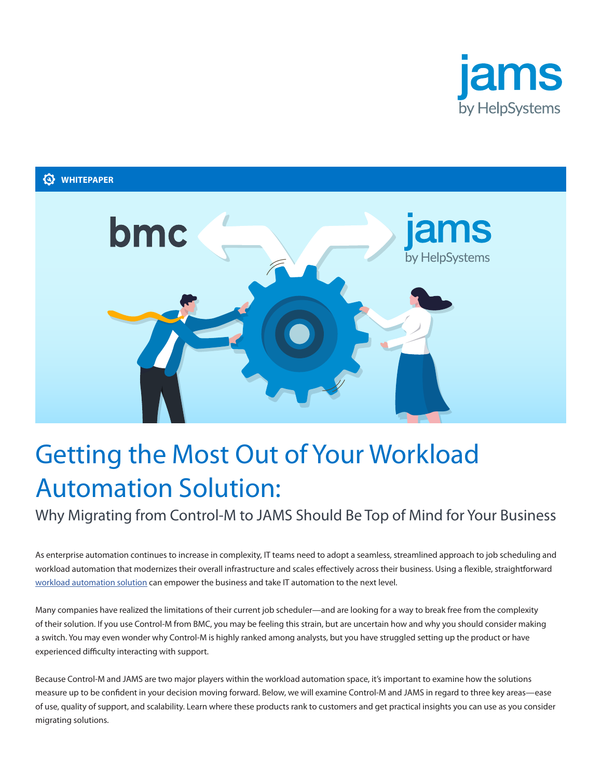

# **WHITEPAPER**



# Getting the Most Out of Your Workload Automation Solution:

Why Migrating from Control-M to JAMS Should Be Top of Mind for Your Business

As enterprise automation continues to increase in complexity, IT teams need to adopt a seamless, streamlined approach to job scheduling and workload automation that modernizes their overall infrastructure and scales effectively across their business. Using a flexible, straightforward [workload automation solution](https://www.jamsscheduler.com/workload-automation/) can empower the business and take IT automation to the next level.

Many companies have realized the limitations of their current job scheduler—and are looking for a way to break free from the complexity of their solution. If you use Control-M from BMC, you may be feeling this strain, but are uncertain how and why you should consider making a switch. You may even wonder why Control-M is highly ranked among analysts, but you have struggled setting up the product or have experienced difficulty interacting with support.

Because Control-M and JAMS are two major players within the workload automation space, it's important to examine how the solutions measure up to be confident in your decision moving forward. Below, we will examine Control-M and JAMS in regard to three key areas—ease of use, quality of support, and scalability. Learn where these products rank to customers and get practical insights you can use as you consider migrating solutions.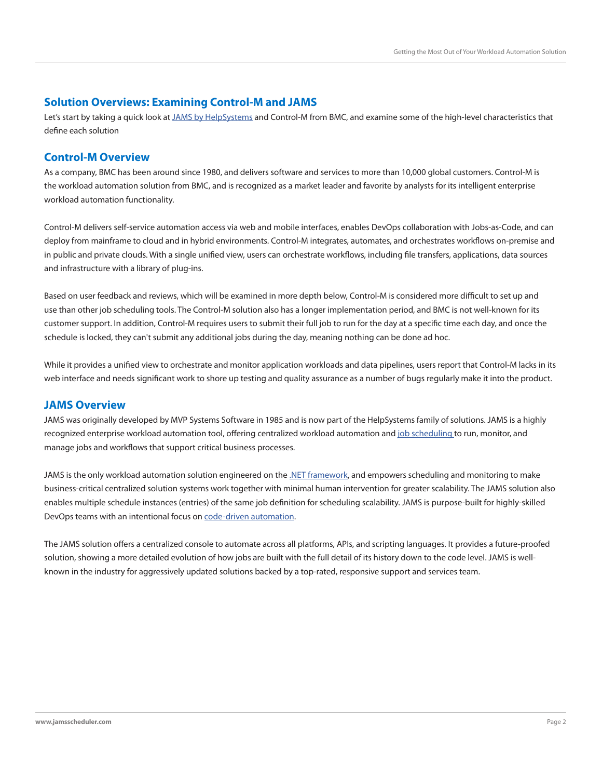## **Solution Overviews: Examining Control-M and JAMS**

Let's start by taking a quick look at [JAMS by HelpSystems](https://www.jamsscheduler.com/) and Control-M from BMC, and examine some of the high-level characteristics that define each solution

## **Control-M Overview**

As a company, BMC has been around since 1980, and delivers software and services to more than 10,000 global customers. Control-M is the workload automation solution from BMC, and is recognized as a market leader and favorite by analysts for its intelligent enterprise workload automation functionality.

Control-M delivers self-service automation access via web and mobile interfaces, enables DevOps collaboration with Jobs-as-Code, and can deploy from mainframe to cloud and in hybrid environments. Control-M integrates, automates, and orchestrates workflows on-premise and in public and private clouds. With a single unified view, users can orchestrate workflows, including file transfers, applications, data sources and infrastructure with a library of plug-ins.

Based on user feedback and reviews, which will be examined in more depth below, Control-M is considered more difficult to set up and use than other job scheduling tools. The Control-M solution also has a longer implementation period, and BMC is not well-known for its customer support. In addition, Control-M requires users to submit their full job to run for the day at a specific time each day, and once the schedule is locked, they can't submit any additional jobs during the day, meaning nothing can be done ad hoc.

While it provides a unified view to orchestrate and monitor application workloads and data pipelines, users report that Control-M lacks in its web interface and needs significant work to shore up testing and quality assurance as a number of bugs regularly make it into the product.

## **JAMS Overview**

JAMS was originally developed by MVP Systems Software in 1985 and is now part of the HelpSystems family of solutions. JAMS is a highly recognized enterprise workload automation tool, offering centralized workload automation and [job scheduling](https://www.jamsscheduler.com/job-scheduling/) to run, monitor, and manage jobs and workflows that support critical business processes.

JAMS is the only workload automation solution engineered on the [.NET framework,](https://www.jamsscheduler.com/platforms/windows/net-api/) and empowers scheduling and monitoring to make business-critical centralized solution systems work together with minimal human intervention for greater scalability. The JAMS solution also enables multiple schedule instances (entries) of the same job definition for scheduling scalability. JAMS is purpose-built for highly-skilled DevOps teams with an intentional focus on [code-driven automation](https://www.jamsscheduler.com/code-driven-automation/).

The JAMS solution offers a centralized console to automate across all platforms, APIs, and scripting languages. It provides a future-proofed solution, showing a more detailed evolution of how jobs are built with the full detail of its history down to the code level. JAMS is wellknown in the industry for aggressively updated solutions backed by a top-rated, responsive support and services team.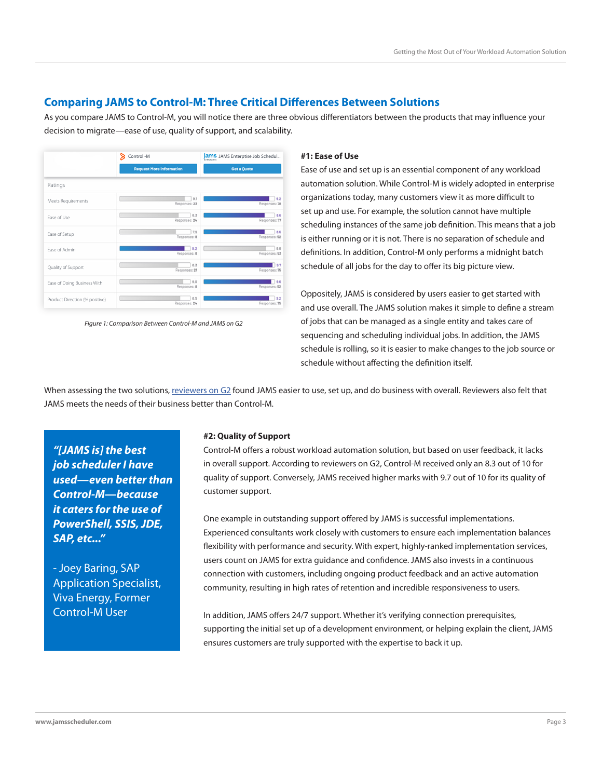## **Comparing JAMS to Control-M: Three Critical Differences Between Solutions**

As you compare JAMS to Control-M, you will notice there are three obvious differentiators between the products that may influence your decision to migrate—ease of use, quality of support, and scalability.



*Figure 1: Comparison Between Control-M and JAMS on G2*

## **#1: Ease of Use**

Ease of use and set up is an essential component of any workload automation solution. While Control-M is widely adopted in enterprise organizations today, many customers view it as more difficult to set up and use. For example, the solution cannot have multiple scheduling instances of the same job definition. This means that a job is either running or it is not. There is no separation of schedule and definitions. In addition, Control-M only performs a midnight batch schedule of all jobs for the day to offer its big picture view.

Oppositely, JAMS is considered by users easier to get started with and use overall. The JAMS solution makes it simple to define a stream of jobs that can be managed as a single entity and takes care of sequencing and scheduling individual jobs. In addition, the JAMS schedule is rolling, so it is easier to make changes to the job source or schedule without affecting the definition itself.

When assessing the two solutions, [reviewers on G2](https://www.g2.com/compare/control-m-vs-jams-enterprise-job-scheduler) found JAMS easier to use, set up, and do business with overall. Reviewers also felt that JAMS meets the needs of their business better than Control-M.

*"[JAMS is] the best job scheduler I have used—even better than Control-M—because it caters for the use of PowerShell, SSIS, JDE, SAP, etc..."*

- Joey Baring, SAP Application Specialist, Viva Energy, Former Control-M User

#### **#2: Quality of Support**

Control-M offers a robust workload automation solution, but based on user feedback, it lacks in overall support. According to reviewers on G2, Control-M received only an 8.3 out of 10 for quality of support. Conversely, JAMS received higher marks with 9.7 out of 10 for its quality of customer support.

One example in outstanding support offered by JAMS is successful implementations. Experienced consultants work closely with customers to ensure each implementation balances flexibility with performance and security. With expert, highly-ranked implementation services, users count on JAMS for extra guidance and confidence. JAMS also invests in a continuous connection with customers, including ongoing product feedback and an active automation community, resulting in high rates of retention and incredible responsiveness to users.

In addition, JAMS offers 24/7 support. Whether it's verifying connection prerequisites, supporting the initial set up of a development environment, or helping explain the client, JAMS ensures customers are truly supported with the expertise to back it up.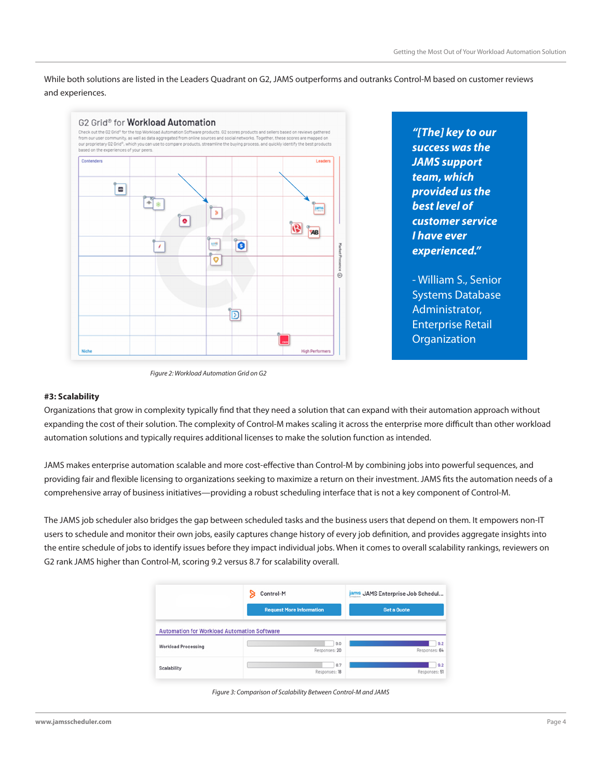While both solutions are listed in the Leaders Quadrant on G2, JAMS outperforms and outranks Control-M based on customer reviews and experiences.



*"[The] key to our success was the JAMS support team, which provided us the best level of customer service I have ever experienced."*

- William S., Senior Systems Database Administrator, Enterprise Retail **Organization** 

*Figure 2: Workload Automation Grid on G2*

### **#3: Scalability**

Organizations that grow in complexity typically find that they need a solution that can expand with their automation approach without expanding the cost of their solution. The complexity of Control-M makes scaling it across the enterprise more difficult than other workload automation solutions and typically requires additional licenses to make the solution function as intended.

JAMS makes enterprise automation scalable and more cost-effective than Control-M by combining jobs into powerful sequences, and providing fair and flexible licensing to organizations seeking to maximize a return on their investment. JAMS fits the automation needs of a comprehensive array of business initiatives—providing a robust scheduling interface that is not a key component of Control-M.

The JAMS job scheduler also bridges the gap between scheduled tasks and the business users that depend on them. It empowers non-IT users to schedule and monitor their own jobs, easily captures change history of every job definition, and provides aggregate insights into the entire schedule of jobs to identify issues before they impact individual jobs. When it comes to overall scalability rankings, reviewers on G2 rank JAMS higher than Control-M, scoring 9.2 versus 8.7 for scalability overall.

|                                                    | Control-M                       | jams JAMS Enterprise Job Schedul<br>Get a Quote |
|----------------------------------------------------|---------------------------------|-------------------------------------------------|
|                                                    | <b>Request More Information</b> |                                                 |
| <b>Automation for Workload Automation Software</b> |                                 |                                                 |
| Workload Processing                                | 9.0<br>Responses: 20            | 9.2<br>Responses: 64                            |
| Scalability                                        | 8.7<br>Responses: 18            | 9.2<br>Responses: 51                            |